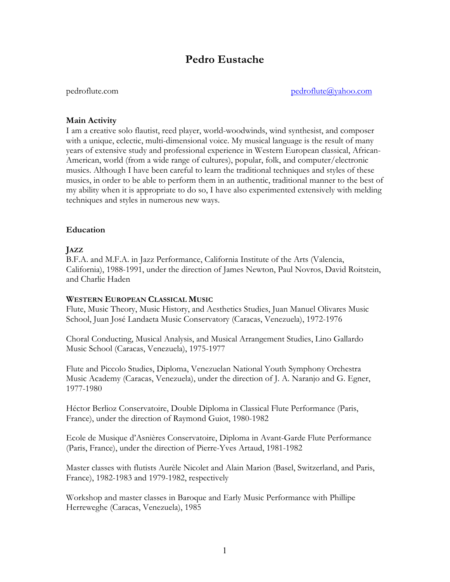# **Pedro Eustache**

pedroflute.com pedroflute@yahoo.com

## **Main Activity**

I am a creative solo flautist, reed player, world-woodwinds, wind synthesist, and composer with a unique, eclectic, multi-dimensional voice. My musical language is the result of many years of extensive study and professional experience in Western European classical, African-American, world (from a wide range of cultures), popular, folk, and computer/electronic musics. Although I have been careful to learn the traditional techniques and styles of these musics, in order to be able to perform them in an authentic, traditional manner to the best of my ability when it is appropriate to do so, I have also experimented extensively with melding techniques and styles in numerous new ways.

## **Education**

## **JAZZ**

B.F.A. and M.F.A. in Jazz Performance, California Institute of the Arts (Valencia, California), 1988-1991, under the direction of James Newton, Paul Novros, David Roitstein, and Charlie Haden

#### **WESTERN EUROPEAN CLASSICAL MUSIC**

Flute, Music Theory, Music History, and Aesthetics Studies, Juan Manuel Olivares Music School, Juan José Landaeta Music Conservatory (Caracas, Venezuela), 1972-1976

Choral Conducting, Musical Analysis, and Musical Arrangement Studies, Lino Gallardo Music School (Caracas, Venezuela), 1975-1977

Flute and Piccolo Studies, Diploma, Venezuelan National Youth Symphony Orchestra Music Academy (Caracas, Venezuela), under the direction of J. A. Naranjo and G. Egner, 1977-1980

Héctor Berlioz Conservatoire, Double Diploma in Classical Flute Performance (Paris, France), under the direction of Raymond Guiot, 1980-1982

Ecole de Musique d'Asnières Conservatoire, Diploma in Avant-Garde Flute Performance (Paris, France), under the direction of Pierre-Yves Artaud, 1981-1982

Master classes with flutists Aurèle Nicolet and Alain Marion (Basel, Switzerland, and Paris, France), 1982-1983 and 1979-1982, respectively

Workshop and master classes in Baroque and Early Music Performance with Phillipe Herreweghe (Caracas, Venezuela), 1985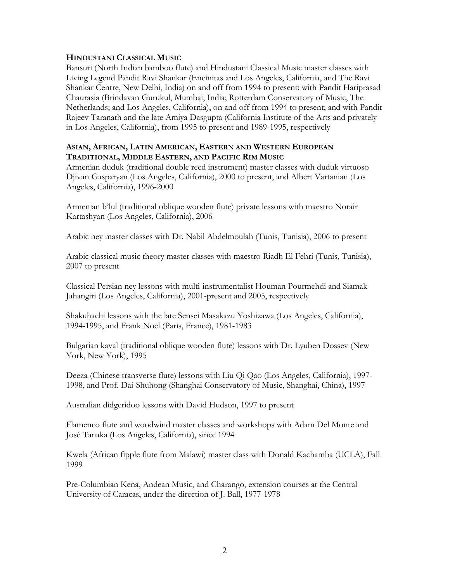## **HINDUSTANI CLASSICAL MUSIC**

Bansuri (North Indian bamboo flute) and Hindustani Classical Music master classes with Living Legend Pandit Ravi Shankar (Encinitas and Los Angeles, California, and The Ravi Shankar Centre, New Delhi, India) on and off from 1994 to present; with Pandit Hariprasad Chaurasia (Brindavan Gurukul, Mumbai, India; Rotterdam Conservatory of Music, The Netherlands; and Los Angeles, California), on and off from 1994 to present; and with Pandit Rajeev Taranath and the late Amiya Dasgupta (California Institute of the Arts and privately in Los Angeles, California), from 1995 to present and 1989-1995, respectively

#### **ASIAN, AFRICAN, LATIN AMERICAN, EASTERN AND WESTERN EUROPEAN TRADITIONAL, MIDDLE EASTERN, AND PACIFIC RIM MUSIC**

Armenian duduk (traditional double reed instrument) master classes with duduk virtuoso Djivan Gasparyan (Los Angeles, California), 2000 to present, and Albert Vartanian (Los Angeles, California), 1996-2000

Armenian b'lul (traditional oblique wooden flute) private lessons with maestro Norair Kartashyan (Los Angeles, California), 2006

Arabic ney master classes with Dr. Nabil Abdelmoulah (Tunis, Tunisia), 2006 to present

Arabic classical music theory master classes with maestro Riadh El Fehri (Tunis, Tunisia), 2007 to present

Classical Persian ney lessons with multi-instrumentalist Houman Pourmehdi and Siamak Jahangiri (Los Angeles, California), 2001-present and 2005, respectively

Shakuhachi lessons with the late Sensei Masakazu Yoshizawa (Los Angeles, California), 1994-1995, and Frank Noel (Paris, France), 1981-1983

Bulgarian kaval (traditional oblique wooden flute) lessons with Dr. Lyuben Dossev (New York, New York), 1995

Deeza (Chinese transverse flute) lessons with Liu Qi Qao (Los Angeles, California), 1997- 1998, and Prof. Dai-Shuhong (Shanghai Conservatory of Music, Shanghai, China), 1997

Australian didgeridoo lessons with David Hudson, 1997 to present

Flamenco flute and woodwind master classes and workshops with Adam Del Monte and José Tanaka (Los Angeles, California), since 1994

Kwela (African fipple flute from Malawi) master class with Donald Kachamba (UCLA), Fall 1999

Pre-Columbian Kena, Andean Music, and Charango, extension courses at the Central University of Caracas, under the direction of J. Ball, 1977-1978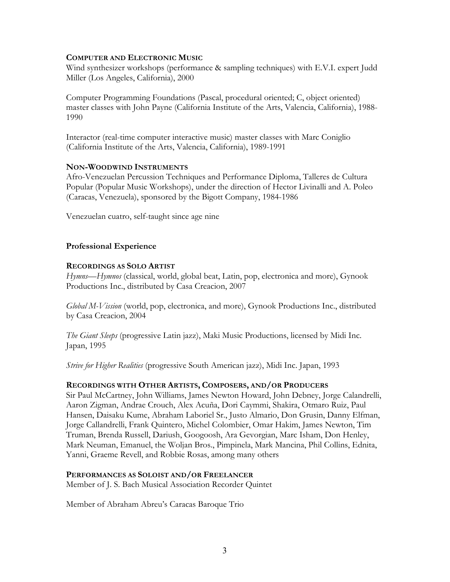## **COMPUTER AND ELECTRONIC MUSIC**

Wind synthesizer workshops (performance & sampling techniques) with E.V.I. expert Judd Miller (Los Angeles, California), 2000

Computer Programming Foundations (Pascal, procedural oriented; C, object oriented) master classes with John Payne (California Institute of the Arts, Valencia, California), 1988- 1990

Interactor (real-time computer interactive music) master classes with Marc Coniglio (California Institute of the Arts, Valencia, California), 1989-1991

## **NON-WOODWIND INSTRUMENTS**

Afro-Venezuelan Percussion Techniques and Performance Diploma, Talleres de Cultura Popular (Popular Music Workshops), under the direction of Hector Livinalli and A. Poleo (Caracas, Venezuela), sponsored by the Bigott Company, 1984-1986

Venezuelan cuatro, self-taught since age nine

# **Professional Experience**

## **RECORDINGS AS SOLO ARTIST**

*Hymns—Hymnos* (classical, world, global beat, Latin, pop, electronica and more), Gynook Productions Inc., distributed by Casa Creacion, 2007

*Global M-Vission* (world, pop, electronica, and more), Gynook Productions Inc., distributed by Casa Creacion, 2004

*The Giant Sleeps* (progressive Latin jazz), Maki Music Productions, licensed by Midi Inc. Japan, 1995

*Strive for Higher Realities* (progressive South American jazz), Midi Inc. Japan, 1993

# **RECORDINGS WITH OTHER ARTISTS, COMPOSERS, AND/OR PRODUCERS**

Sir Paul McCartney, John Williams, James Newton Howard, John Debney, Jorge Calandrelli, Aaron Zigman, Andrae Crouch, Alex Acuña, Dori Caymmi, Shakira, Otmaro Ruiz, Paul Hansen, Daisaku Kume, Abraham Laboriel Sr., Justo Almario, Don Grusin, Danny Elfman, Jorge Callandrelli, Frank Quintero, Michel Colombier, Omar Hakim, James Newton, Tim Truman, Brenda Russell, Dariush, Googoosh, Ara Gevorgian, Marc Isham, Don Henley, Mark Neuman, Emanuel, the Woljan Bros., Pimpinela, Mark Mancina, Phil Collins, Ednita, Yanni, Graeme Revell, and Robbie Rosas, among many others

# **PERFORMANCES AS SOLOIST AND/OR FREELANCER**

Member of J. S. Bach Musical Association Recorder Quintet

Member of Abraham Abreu's Caracas Baroque Trio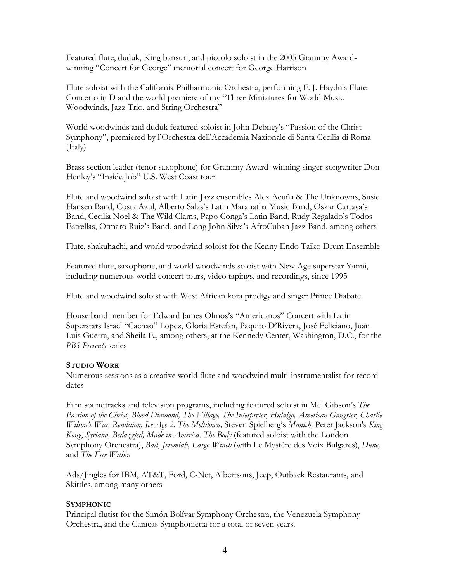Featured flute, duduk, King bansuri, and piccolo soloist in the 2005 Grammy Awardwinning "Concert for George" memorial concert for George Harrison

Flute soloist with the California Philharmonic Orchestra, performing F. J. Haydn's Flute Concerto in D and the world premiere of my "Three Miniatures for World Music Woodwinds, Jazz Trio, and String Orchestra"

World woodwinds and duduk featured soloist in John Debney's "Passion of the Christ Symphony", premiered by l'Orchestra dell'Accademia Nazionale di Santa Cecilia di Roma (Italy)

Brass section leader (tenor saxophone) for Grammy Award–winning singer-songwriter Don Henley's "Inside Job" U.S. West Coast tour

Flute and woodwind soloist with Latin Jazz ensembles Alex Acuña & The Unknowns, Susie Hansen Band, Costa Azul, Alberto Salas's Latin Maranatha Music Band, Oskar Cartaya's Band, Cecilia Noel & The Wild Clams, Papo Conga's Latin Band, Rudy Regalado's Todos Estrellas, Otmaro Ruiz's Band, and Long John Silva's AfroCuban Jazz Band, among others

Flute, shakuhachi, and world woodwind soloist for the Kenny Endo Taiko Drum Ensemble

Featured flute, saxophone, and world woodwinds soloist with New Age superstar Yanni, including numerous world concert tours, video tapings, and recordings, since 1995

Flute and woodwind soloist with West African kora prodigy and singer Prince Diabate

House band member for Edward James Olmos's "Americanos" Concert with Latin Superstars Israel "Cachao" Lopez, Gloria Estefan, Paquito D'Rivera, José Feliciano, Juan Luis Guerra, and Sheila E., among others, at the Kennedy Center, Washington, D.C., for the *PBS Presents* series

# **STUDIO WORK**

Numerous sessions as a creative world flute and woodwind multi-instrumentalist for record dates

Film soundtracks and television programs, including featured soloist in Mel Gibson's *The Passion of the Christ, Blood Diamond, The Village, The Interpreter, Hidalgo, American Gangster, Charlie Wilson's War, Rendition, Ice Age 2: The Meltdown,* Steven Spielberg's *Munich,* Peter Jackson's *King Kong*, *Syriana, Bedazzled, Made in America, The Body* (featured soloist with the London Symphony Orchestra), *Bait, Jeremiah, Largo Winch* (with Le Mystère des Voix Bulgares), *Dune,*  and *The Fire Within*

Ads/Jingles for IBM, AT&T, Ford, C-Net, Albertsons, Jeep, Outback Restaurants, and Skittles, among many others

# **SYMPHONIC**

Principal flutist for the Simón Bolívar Symphony Orchestra, the Venezuela Symphony Orchestra, and the Caracas Symphonietta for a total of seven years.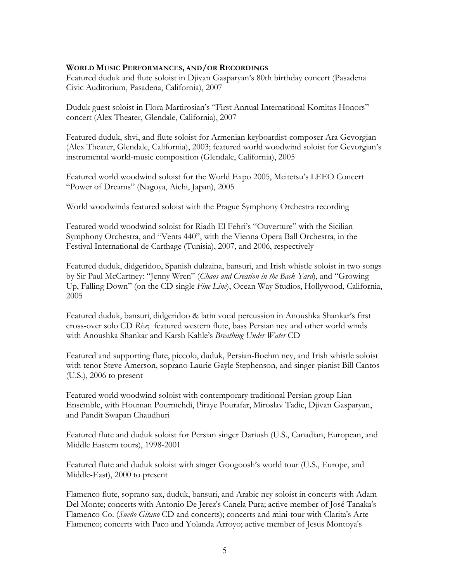#### **WORLD MUSIC PERFORMANCES, AND/OR RECORDINGS**

Featured duduk and flute soloist in Djivan Gasparyan's 80th birthday concert (Pasadena Civic Auditorium, Pasadena, California), 2007

Duduk guest soloist in Flora Martirosian's "First Annual International Komitas Honors" concert (Alex Theater, Glendale, California), 2007

Featured duduk, shvi, and flute soloist for Armenian keyboardist-composer Ara Gevorgian (Alex Theater, Glendale, California), 2003; featured world woodwind soloist for Gevorgian's instrumental world-music composition (Glendale, California), 2005

Featured world woodwind soloist for the World Expo 2005, Meitetsu's LEEO Concert "Power of Dreams" (Nagoya, Aichi, Japan), 2005

World woodwinds featured soloist with the Prague Symphony Orchestra recording

Featured world woodwind soloist for Riadh El Fehri's "Ouverture" with the Sicilian Symphony Orchestra, and "Vents 440", with the Vienna Opera Ball Orchestra, in the Festival International de Carthage (Tunisia), 2007, and 2006, respectively

Featured duduk, didgeridoo, Spanish dulzaina, bansuri, and Irish whistle soloist in two songs by Sir Paul McCartney: "Jenny Wren" (*Chaos and Creation in the Back Yard*), and "Growing Up, Falling Down" (on the CD single *Fine Line*), Ocean Way Studios, Hollywood, California, 2005

Featured duduk, bansuri, didgeridoo & latin vocal percussion in Anoushka Shankar's first cross-over solo CD *Rise*; featured western flute, bass Persian ney and other world winds with Anoushka Shankar and Karsh Kahle's *Breathing Under Water* CD

Featured and supporting flute, piccolo, duduk, Persian-Boehm ney, and Irish whistle soloist with tenor Steve Amerson, soprano Laurie Gayle Stephenson, and singer-pianist Bill Cantos (U.S.), 2006 to present

Featured world woodwind soloist with contemporary traditional Persian group Lian Ensemble, with Houman Pourmehdi, Piraye Pourafar, Miroslav Tadic, Djivan Gasparyan, and Pandit Swapan Chaudhuri

Featured flute and duduk soloist for Persian singer Dariush (U.S., Canadian, European, and Middle Eastern tours), 1998-2001

Featured flute and duduk soloist with singer Googoosh's world tour (U.S., Europe, and Middle-East), 2000 to present

Flamenco flute, soprano sax, duduk, bansuri, and Arabic ney soloist in concerts with Adam Del Monte; concerts with Antonio De Jerez's Canela Pura; active member of José Tanaka's Flamenco Co. (*Sueño Gitano* CD and concerts); concerts and mini-tour with Clarita's Arte Flamenco; concerts with Paco and Yolanda Arroyo; active member of Jesus Montoya's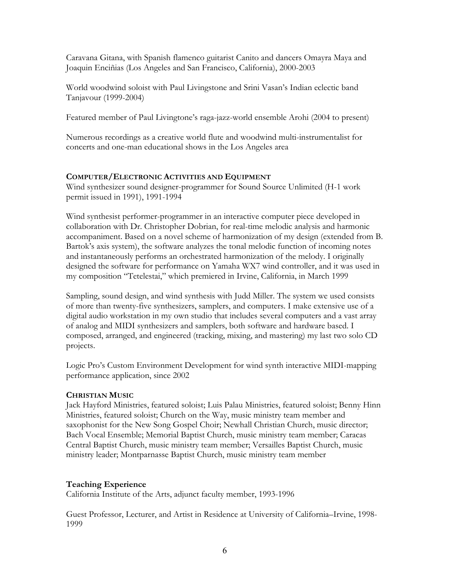Caravana Gitana, with Spanish flamenco guitarist Canito and dancers Omayra Maya and Joaquin Enciñias (Los Angeles and San Francisco, California), 2000-2003

World woodwind soloist with Paul Livingstone and Srini Vasan's Indian eclectic band Tanjavour (1999-2004)

Featured member of Paul Livingtone's raga-jazz-world ensemble Arohi (2004 to present)

Numerous recordings as a creative world flute and woodwind multi-instrumentalist for concerts and one-man educational shows in the Los Angeles area

# **COMPUTER/ELECTRONIC ACTIVITIES AND EQUIPMENT**

Wind synthesizer sound designer-programmer for Sound Source Unlimited (H-1 work permit issued in 1991), 1991-1994

Wind synthesist performer-programmer in an interactive computer piece developed in collaboration with Dr. Christopher Dobrian, for real-time melodic analysis and harmonic accompaniment. Based on a novel scheme of harmonization of my design (extended from B. Bartok's axis system), the software analyzes the tonal melodic function of incoming notes and instantaneously performs an orchestrated harmonization of the melody. I originally designed the software for performance on Yamaha WX7 wind controller, and it was used in my composition "Tetelestai," which premiered in Irvine, California, in March 1999

Sampling, sound design, and wind synthesis with Judd Miller. The system we used consists of more than twenty-five synthesizers, samplers, and computers. I make extensive use of a digital audio workstation in my own studio that includes several computers and a vast array of analog and MIDI synthesizers and samplers, both software and hardware based. I composed, arranged, and engineered (tracking, mixing, and mastering) my last two solo CD projects.

Logic Pro's Custom Environment Development for wind synth interactive MIDI-mapping performance application, since 2002

# **CHRISTIAN MUSIC**

Jack Hayford Ministries, featured soloist; Luis Palau Ministries, featured soloist; Benny Hinn Ministries, featured soloist; Church on the Way, music ministry team member and saxophonist for the New Song Gospel Choir; Newhall Christian Church, music director; Bach Vocal Ensemble; Memorial Baptist Church, music ministry team member; Caracas Central Baptist Church, music ministry team member; Versailles Baptist Church, music ministry leader; Montparnasse Baptist Church, music ministry team member

# **Teaching Experience**

California Institute of the Arts, adjunct faculty member, 1993-1996

Guest Professor, Lecturer, and Artist in Residence at University of California–Irvine, 1998- 1999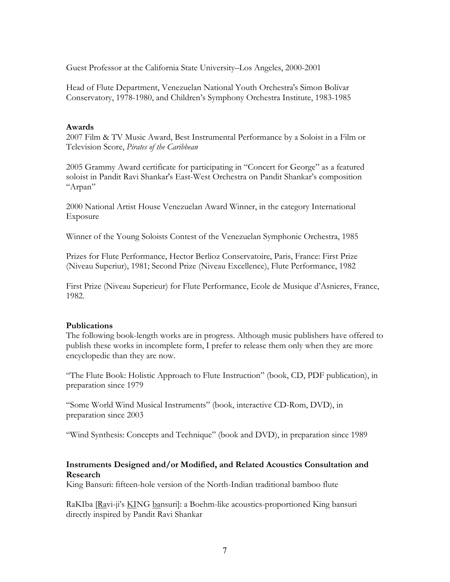Guest Professor at the California State University–Los Angeles, 2000-2001

Head of Flute Department, Venezuelan National Youth Orchestra's Simon Bolívar Conservatory, 1978-1980, and Children's Symphony Orchestra Institute, 1983-1985

#### **Awards**

2007 Film & TV Music Award, Best Instrumental Performance by a Soloist in a Film or Television Score, *Pirates of the Caribbean* 

2005 Grammy Award certificate for participating in "Concert for George" as a featured soloist in Pandit Ravi Shankar's East-West Orchestra on Pandit Shankar's composition "Arpan"

2000 National Artist House Venezuelan Award Winner, in the category International Exposure

Winner of the Young Soloists Contest of the Venezuelan Symphonic Orchestra, 1985

Prizes for Flute Performance, Hector Berlioz Conservatoire, Paris, France: First Prize (Niveau Superiur), 1981; Second Prize (Niveau Excellence), Flute Performance, 1982

First Prize (Niveau Superieur) for Flute Performance, Ecole de Musique d'Asnieres, France, 1982.

#### **Publications**

The following book-length works are in progress. Although music publishers have offered to publish these works in incomplete form, I prefer to release them only when they are more encyclopedic than they are now.

"The Flute Book: Holistic Approach to Flute Instruction" (book, CD, PDF publication), in preparation since 1979

"Some World Wind Musical Instruments" (book, interactive CD-Rom, DVD), in preparation since 2003

"Wind Synthesis: Concepts and Technique" (book and DVD), in preparation since 1989

# **Instruments Designed and/or Modified, and Related Acoustics Consultation and Research**

King Bansuri: fifteen-hole version of the North-Indian traditional bamboo flute

RaKIba [Ravi-ji's KING bansuri]: a Boehm-like acoustics-proportioned King bansuri directly inspired by Pandit Ravi Shankar